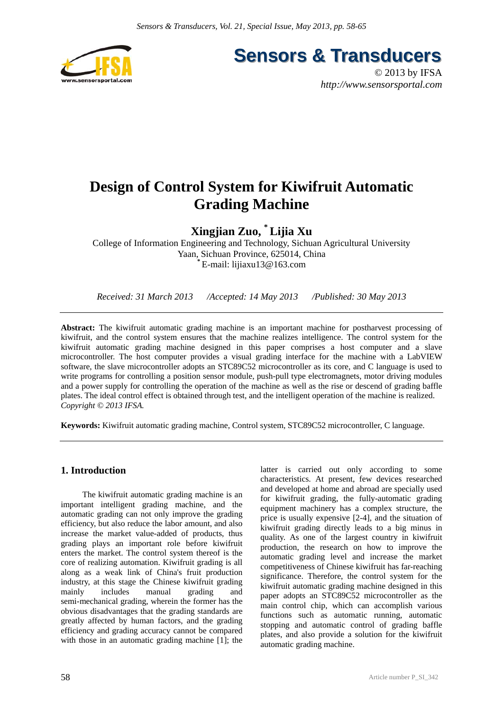

**Sensors & Transducers** 

© 2013 by IFSA *http://www.sensorsportal.com*

# **Design of Control System for Kiwifruit Automatic Grading Machine**

**Xingjian Zuo, \* Lijia Xu** 

College of Information Engineering and Technology, Sichuan Agricultural University Yaan, Sichuan Province, 625014, China **\*** E-mail: lijiaxu13@163.com

*Received: 31 March 2013 /Accepted: 14 May 2013 /Published: 30 May 2013* 

**Abstract:** The kiwifruit automatic grading machine is an important machine for postharvest processing of kiwifruit, and the control system ensures that the machine realizes intelligence. The control system for the kiwifruit automatic grading machine designed in this paper comprises a host computer and a slave microcontroller. The host computer provides a visual grading interface for the machine with a LabVIEW software, the slave microcontroller adopts an STC89C52 microcontroller as its core, and C language is used to write programs for controlling a position sensor module, push-pull type electromagnets, motor driving modules and a power supply for controlling the operation of the machine as well as the rise or descend of grading baffle plates. The ideal control effect is obtained through test, and the intelligent operation of the machine is realized. *Copyright © 2013 IFSA.*

**Keywords:** Kiwifruit automatic grading machine, Control system, STC89C52 microcontroller, C language.

# **1. Introduction**

The kiwifruit automatic grading machine is an important intelligent grading machine, and the automatic grading can not only improve the grading efficiency, but also reduce the labor amount, and also increase the market value-added of products, thus grading plays an important role before kiwifruit enters the market. The control system thereof is the core of realizing automation. Kiwifruit grading is all along as a weak link of China's fruit production industry, at this stage the Chinese kiwifruit grading mainly includes manual grading and semi-mechanical grading, wherein the former has the obvious disadvantages that the grading standards are greatly affected by human factors, and the grading efficiency and grading accuracy cannot be compared with those in an automatic grading machine [1]; the

latter is carried out only according to some characteristics. At present, few devices researched and developed at home and abroad are specially used for kiwifruit grading, the fully-automatic grading equipment machinery has a complex structure, the price is usually expensive [2-4], and the situation of kiwifruit grading directly leads to a big minus in quality. As one of the largest country in kiwifruit production, the research on how to improve the automatic grading level and increase the market competitiveness of Chinese kiwifruit has far-reaching significance. Therefore, the control system for the kiwifruit automatic grading machine designed in this paper adopts an STC89C52 microcontroller as the main control chip, which can accomplish various functions such as automatic running, automatic stopping and automatic control of grading baffle plates, and also provide a solution for the kiwifruit automatic grading machine.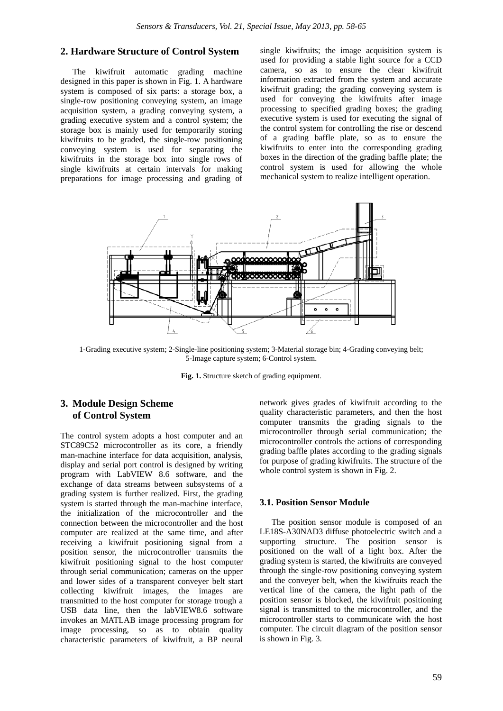# **2. Hardware Structure of Control System**

The kiwifruit automatic grading machine designed in this paper is shown in Fig. 1. A hardware system is composed of six parts: a storage box, a single-row positioning conveying system, an image acquisition system, a grading conveying system, a grading executive system and a control system; the storage box is mainly used for temporarily storing kiwifruits to be graded, the single-row positioning conveying system is used for separating the kiwifruits in the storage box into single rows of single kiwifruits at certain intervals for making preparations for image processing and grading of single kiwifruits; the image acquisition system is used for providing a stable light source for a CCD camera, so as to ensure the clear kiwifruit information extracted from the system and accurate kiwifruit grading; the grading conveying system is used for conveying the kiwifruits after image processing to specified grading boxes; the grading executive system is used for executing the signal of the control system for controlling the rise or descend of a grading baffle plate, so as to ensure the kiwifruits to enter into the corresponding grading boxes in the direction of the grading baffle plate; the control system is used for allowing the whole mechanical system to realize intelligent operation.



1-Grading executive system; 2-Single-line positioning system; 3-Material storage bin; 4-Grading conveying belt; 5-Image capture system; 6-Control system.

**Fig. 1.** Structure sketch of grading equipment.

# **3. Module Design Scheme of Control System**

The control system adopts a host computer and an STC89C52 microcontroller as its core, a friendly man-machine interface for data acquisition, analysis, display and serial port control is designed by writing program with LabVIEW 8.6 software, and the exchange of data streams between subsystems of a grading system is further realized. First, the grading system is started through the man-machine interface, the initialization of the microcontroller and the connection between the microcontroller and the host computer are realized at the same time, and after receiving a kiwifruit positioning signal from a position sensor, the microcontroller transmits the kiwifruit positioning signal to the host computer through serial communication; cameras on the upper and lower sides of a transparent conveyer belt start collecting kiwifruit images, the images are transmitted to the host computer for storage trough a USB data line, then the labVIEW8.6 software invokes an MATLAB image processing program for image processing, so as to obtain quality characteristic parameters of kiwifruit, a BP neural

network gives grades of kiwifruit according to the quality characteristic parameters, and then the host computer transmits the grading signals to the microcontroller through serial communication; the microcontroller controls the actions of corresponding grading baffle plates according to the grading signals for purpose of grading kiwifruits. The structure of the whole control system is shown in Fig. 2.

## **3.1. Position Sensor Module**

The position sensor module is composed of an LE18S-A30NAD3 diffuse photoelectric switch and a supporting structure. The position sensor is positioned on the wall of a light box. After the grading system is started, the kiwifruits are conveyed through the single-row positioning conveying system and the conveyer belt, when the kiwifruits reach the vertical line of the camera, the light path of the position sensor is blocked, the kiwifruit positioning signal is transmitted to the microcontroller, and the microcontroller starts to communicate with the host computer. The circuit diagram of the position sensor is shown in Fig. 3.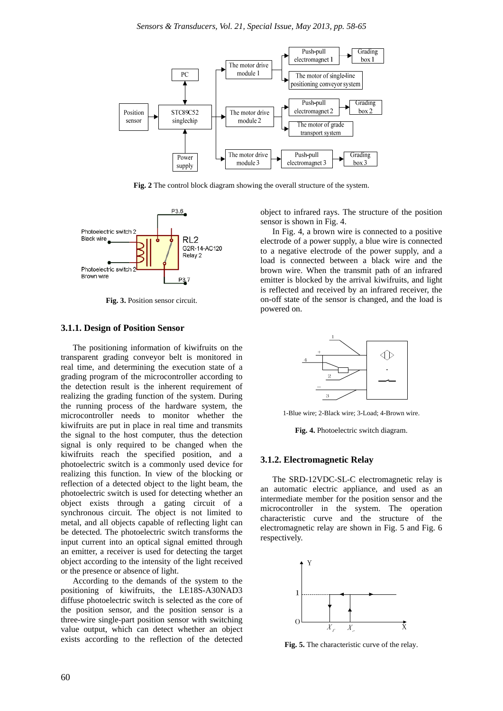

**Fig. 2** The control block diagram showing the overall structure of the system.



**Fig. 3.** Position sensor circuit.

## **3.1.1. Design of Position Sensor**

The positioning information of kiwifruits on the transparent grading conveyor belt is monitored in real time, and determining the execution state of a grading program of the microcontroller according to the detection result is the inherent requirement of realizing the grading function of the system. During the running process of the hardware system, the microcontroller needs to monitor whether the kiwifruits are put in place in real time and transmits the signal to the host computer, thus the detection signal is only required to be changed when the kiwifruits reach the specified position, and a photoelectric switch is a commonly used device for realizing this function. In view of the blocking or reflection of a detected object to the light beam, the photoelectric switch is used for detecting whether an object exists through a gating circuit of a synchronous circuit. The object is not limited to metal, and all objects capable of reflecting light can be detected. The photoelectric switch transforms the input current into an optical signal emitted through an emitter, a receiver is used for detecting the target object according to the intensity of the light received or the presence or absence of light.

According to the demands of the system to the positioning of kiwifruits, the LE18S-A30NAD3 diffuse photoelectric switch is selected as the core of the position sensor, and the position sensor is a three-wire single-part position sensor with switching value output, which can detect whether an object exists according to the reflection of the detected object to infrared rays. The structure of the position sensor is shown in Fig. 4.

In Fig. 4, a brown wire is connected to a positive electrode of a power supply, a blue wire is connected to a negative electrode of the power supply, and a load is connected between a black wire and the brown wire. When the transmit path of an infrared emitter is blocked by the arrival kiwifruits, and light is reflected and received by an infrared receiver, the on-off state of the sensor is changed, and the load is powered on.



1-Blue wire; 2-Black wire; 3-Load; 4-Brown wire.

**Fig. 4.** Photoelectric switch diagram.

## **3.1.2. Electromagnetic Relay**

The SRD-12VDC-SL-C electromagnetic relay is an automatic electric appliance, and used as an intermediate member for the position sensor and the microcontroller in the system. The operation characteristic curve and the structure of the electromagnetic relay are shown in Fig. 5 and Fig. 6 respectively.



**Fig. 5.** The characteristic curve of the relay.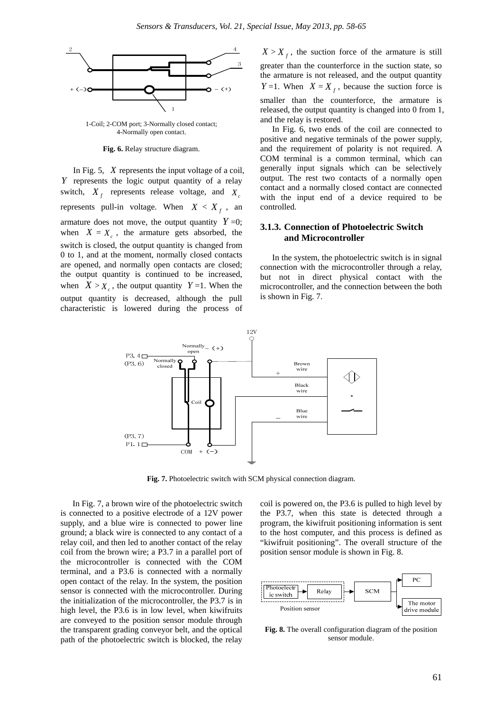

1-Coil; 2-COM port; 3-Normally closed contact; 4-Normally open contact.

**Fig. 6.** Relay structure diagram.

In Fig. 5, *X* represents the input voltage of a coil, *Y* represents the logic output quantity of a relay switch,  $X_f$  represents release voltage, and  $X_c$ represents pull-in voltage. When  $X < X_f$ , an armature does not move, the output quantity  $Y=0$ ; when  $X = X_c$ , the armature gets absorbed, the switch is closed, the output quantity is changed from 0 to 1, and at the moment, normally closed contacts are opened, and normally open contacts are closed; the output quantity is continued to be increased, when  $X > X_c$ , the output quantity  $Y = 1$ . When the output quantity is decreased, although the pull characteristic is lowered during the process of

 $X > X_f$ , the suction force of the armature is still greater than the counterforce in the suction state, so the armature is not released, and the output quantity *Y* =1. When *X* = *X*  $_f$ , because the suction force is smaller than the counterforce, the armature is released, the output quantity is changed into 0 from 1, and the relay is restored.

In Fig. 6, two ends of the coil are connected to positive and negative terminals of the power supply, and the requirement of polarity is not required. A COM terminal is a common terminal, which can generally input signals which can be selectively output. The rest two contacts of a normally open contact and a normally closed contact are connected with the input end of a device required to be controlled.

## **3.1.3. Connection of Photoelectric Switch and Microcontroller**

In the system, the photoelectric switch is in signal connection with the microcontroller through a relay, but not in direct physical contact with the microcontroller, and the connection between the both is shown in Fig. 7.



**Fig. 7.** Photoelectric switch with SCM physical connection diagram.

In Fig. 7, a brown wire of the photoelectric switch is connected to a positive electrode of a 12V power supply, and a blue wire is connected to power line ground; a black wire is connected to any contact of a relay coil, and then led to another contact of the relay coil from the brown wire; a P3.7 in a parallel port of the microcontroller is connected with the COM terminal, and a P3.6 is connected with a normally open contact of the relay. In the system, the position sensor is connected with the microcontroller. During the initialization of the microcontroller, the P3.7 is in high level, the P3.6 is in low level, when kiwifruits are conveyed to the position sensor module through the transparent grading conveyor belt, and the optical path of the photoelectric switch is blocked, the relay

coil is powered on, the P3.6 is pulled to high level by the P3.7, when this state is detected through a program, the kiwifruit positioning information is sent to the host computer, and this process is defined as "kiwifruit positioning". The overall structure of the position sensor module is shown in Fig. 8.



**Fig. 8.** The overall configuration diagram of the position sensor module.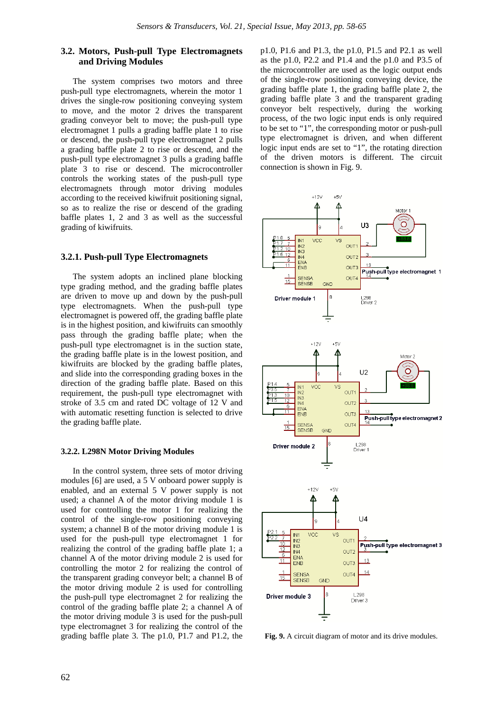# **3.2. Motors, Push-pull Type Electromagnets and Driving Modules**

The system comprises two motors and three push-pull type electromagnets, wherein the motor 1 drives the single-row positioning conveying system to move, and the motor 2 drives the transparent grading conveyor belt to move; the push-pull type electromagnet 1 pulls a grading baffle plate 1 to rise or descend, the push-pull type electromagnet 2 pulls a grading baffle plate 2 to rise or descend, and the push-pull type electromagnet 3 pulls a grading baffle plate 3 to rise or descend. The microcontroller controls the working states of the push-pull type electromagnets through motor driving modules according to the received kiwifruit positioning signal, so as to realize the rise or descend of the grading baffle plates 1, 2 and 3 as well as the successful grading of kiwifruits.

## **3.2.1. Push-pull Type Electromagnets**

The system adopts an inclined plane blocking type grading method, and the grading baffle plates are driven to move up and down by the push-pull type electromagnets. When the push-pull type electromagnet is powered off, the grading baffle plate is in the highest position, and kiwifruits can smoothly pass through the grading baffle plate; when the push-pull type electromagnet is in the suction state, the grading baffle plate is in the lowest position, and kiwifruits are blocked by the grading baffle plates, and slide into the corresponding grading boxes in the direction of the grading baffle plate. Based on this requirement, the push-pull type electromagnet with stroke of 3.5 cm and rated DC voltage of 12 V and with automatic resetting function is selected to drive the grading baffle plate.

#### **3.2.2. L298N Motor Driving Modules**

In the control system, three sets of motor driving modules [6] are used, a 5 V onboard power supply is enabled, and an external 5 V power supply is not used; a channel A of the motor driving module 1 is used for controlling the motor 1 for realizing the control of the single-row positioning conveying system; a channel B of the motor driving module 1 is used for the push-pull type electromagnet 1 for realizing the control of the grading baffle plate 1; a channel A of the motor driving module 2 is used for controlling the motor 2 for realizing the control of the transparent grading conveyor belt; a channel B of the motor driving module 2 is used for controlling the push-pull type electromagnet 2 for realizing the control of the grading baffle plate 2; a channel A of the motor driving module 3 is used for the push-pull type electromagnet 3 for realizing the control of the grading baffle plate 3. The p1.0, P1.7 and P1.2, the

p1.0, P1.6 and P1.3, the p1.0, P1.5 and P2.1 as well as the p1.0, P2.2 and P1.4 and the p1.0 and P3.5 of the microcontroller are used as the logic output ends of the single-row positioning conveying device, the grading baffle plate 1, the grading baffle plate 2, the grading baffle plate 3 and the transparent grading conveyor belt respectively, during the working process, of the two logic input ends is only required to be set to "1", the corresponding motor or push-pull type electromagnet is driven, and when different logic input ends are set to "1", the rotating direction of the driven motors is different. The circuit connection is shown in Fig. 9.



**Fig. 9.** A circuit diagram of motor and its drive modules.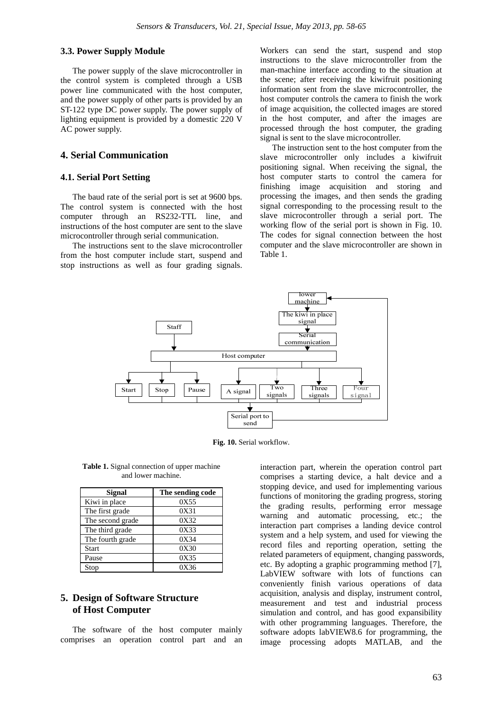## **3.3. Power Supply Module**

The power supply of the slave microcontroller in the control system is completed through a USB power line communicated with the host computer, and the power supply of other parts is provided by an ST-122 type DC power supply. The power supply of lighting equipment is provided by a domestic 220 V AC power supply.

# **4. Serial Communication**

## **4.1. Serial Port Setting**

The baud rate of the serial port is set at 9600 bps. The control system is connected with the host computer through an RS232-TTL line, and instructions of the host computer are sent to the slave microcontroller through serial communication.

The instructions sent to the slave microcontroller from the host computer include start, suspend and stop instructions as well as four grading signals. Workers can send the start, suspend and stop instructions to the slave microcontroller from the man-machine interface according to the situation at the scene; after receiving the kiwifruit positioning information sent from the slave microcontroller, the host computer controls the camera to finish the work of image acquisition, the collected images are stored in the host computer, and after the images are processed through the host computer, the grading signal is sent to the slave microcontroller.

The instruction sent to the host computer from the slave microcontroller only includes a kiwifruit positioning signal. When receiving the signal, the host computer starts to control the camera for finishing image acquisition and storing and processing the images, and then sends the grading signal corresponding to the processing result to the slave microcontroller through a serial port. The working flow of the serial port is shown in Fig. 10. The codes for signal connection between the host computer and the slave microcontroller are shown in Table 1.



**Fig. 10.** Serial workflow.

| <b>Table 1.</b> Signal connection of upper machine |
|----------------------------------------------------|
| and lower machine.                                 |

| Signal           | The sending code |  |  |  |
|------------------|------------------|--|--|--|
| Kiwi in place    | 0X55             |  |  |  |
| The first grade  | 0X31             |  |  |  |
| The second grade | 0X32             |  |  |  |
| The third grade  | 0X33             |  |  |  |
| The fourth grade | 0X34             |  |  |  |
| <b>Start</b>     | 0X30             |  |  |  |
| Pause            | 0X35             |  |  |  |
| Stop             | 0X36             |  |  |  |

# **5. Design of Software Structure of Host Computer**

The software of the host computer mainly comprises an operation control part and an interaction part, wherein the operation control part comprises a starting device, a halt device and a stopping device, and used for implementing various functions of monitoring the grading progress, storing the grading results, performing error message warning and automatic processing, etc.; the interaction part comprises a landing device control system and a help system, and used for viewing the record files and reporting operation, setting the related parameters of equipment, changing passwords, etc. By adopting a graphic programming method [7], LabVIEW software with lots of functions can conveniently finish various operations of data acquisition, analysis and display, instrument control, measurement and test and industrial process simulation and control, and has good expansibility with other programming languages. Therefore, the software adopts labVIEW8.6 for programming, the image processing adopts MATLAB, and the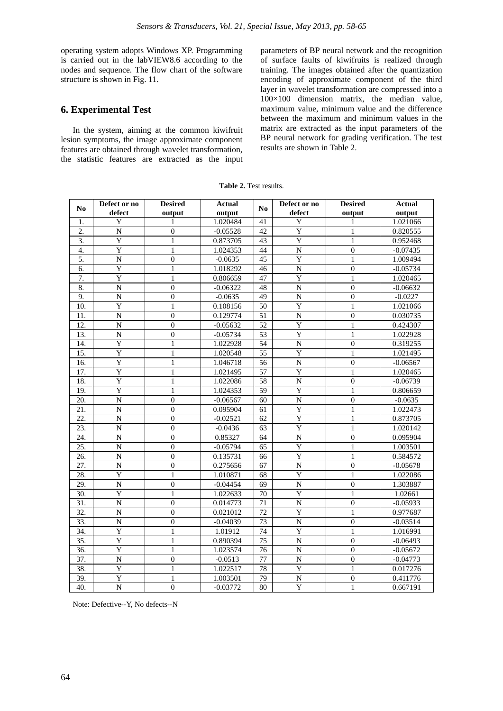operating system adopts Windows XP. Programming is carried out in the labVIEW8.6 according to the nodes and sequence. The flow chart of the software structure is shown in Fig. 11.

# **6. Experimental Test**

In the system, aiming at the common kiwifruit lesion symptoms, the image approximate component features are obtained through wavelet transformation, the statistic features are extracted as the input parameters of BP neural network and the recognition of surface faults of kiwifruits is realized through training. The images obtained after the quantization encoding of approximate component of the third layer in wavelet transformation are compressed into a  $100\times100$  dimension matrix, the median value, maximum value, minimum value and the difference between the maximum and minimum values in the matrix are extracted as the input parameters of the BP neural network for grading verification. The test results are shown in Table 2.

| <b>Table 2.</b> Test results. |
|-------------------------------|
|-------------------------------|

| N <sub>0</sub>    | Defect or no<br>defect | <b>Desired</b><br>output | <b>Actual</b><br>output | N <sub>0</sub>  | Defect or no<br>defect | <b>Desired</b><br>output | <b>Actual</b><br>output |
|-------------------|------------------------|--------------------------|-------------------------|-----------------|------------------------|--------------------------|-------------------------|
| 1.                | Y                      | 1                        | 1.020484                | 41              | Y                      | 1                        | 1.021066                |
| 2.                | $\overline{N}$         | $\boldsymbol{0}$         | $-0.05528$              | 42              | $\overline{Y}$         | $\mathbf{1}$             | 0.820555                |
| 3.                | Y                      | $\mathbf{1}$             | 0.873705                | 43              | $\overline{Y}$         | $\mathbf{1}$             | 0.952468                |
| 4.                | $\overline{Y}$         | $\mathbf{1}$             | 1.024353                | 44              | $\overline{N}$         | $\overline{0}$           | $-0.07435$              |
| 5.                | $\overline{N}$         | $\boldsymbol{0}$         | $-0.0635$               | $\overline{45}$ | $\overline{Y}$         | $\mathbf{1}$             | 1.009494                |
| 6.                | $\overline{Y}$         | $\mathbf{1}$             | 1.018292                | 46              | $\overline{N}$         | $\overline{0}$           | $-0.05734$              |
| 7.                | Y                      | $\mathbf{1}$             | 0.806659                | 47              | Y                      | $\mathbf{1}$             | 1.020465                |
| 8.                | $\overline{\rm N}$     | $\mathbf{0}$             | $-0.06322$              | 48              | $\overline{N}$         | $\overline{0}$           | $-0.06632$              |
| 9.                | $\overline{N}$         | $\mathbf{0}$             | $-0.0635$               | 49              | $\overline{N}$         | $\boldsymbol{0}$         | $-0.0227$               |
| 10.               | $\overline{Y}$         | $\mathbf{1}$             | 0.108156                | 50              | $\overline{Y}$         | $\mathbf{1}$             | 1.021066                |
| 11.               | $\mathbf N$            | $\theta$                 | 0.129774                | $\overline{51}$ | $\overline{N}$         | $\boldsymbol{0}$         | 0.030735                |
| 12.               | $\overline{N}$         | $\boldsymbol{0}$         | $-0.05632$              | 52              | $\overline{Y}$         | $\mathbf{1}$             | 0.424307                |
| 13.               | $\overline{N}$         | $\boldsymbol{0}$         | $-0.05734$              | 53              | $\overline{Y}$         | $\mathbf{1}$             | 1.022928                |
| 14.               | Y                      | $\mathbf{1}$             | 1.022928                | $\overline{54}$ | $\overline{N}$         | $\mathbf{0}$             | 0.319255                |
| 15.               | Y                      | 1                        | 1.020548                | 55              | $\overline{Y}$         | $\mathbf{1}$             | 1.021495                |
| 16.               | $\overline{\text{Y}}$  | $\mathbf{1}$             | 1.046718                | $\overline{56}$ | $\overline{N}$         | $\overline{0}$           | $-0.06567$              |
| 17.               | $\overline{Y}$         | $\mathbf{1}$             | 1.021495                | 57              | $\overline{Y}$         | $\mathbf{1}$             | 1.020465                |
| 18.               | $\overline{Y}$         | $\mathbf{1}$             | 1.022086                | $\overline{58}$ | $\overline{N}$         | $\overline{0}$           | $-0.06739$              |
| 19.               | $\overline{Y}$         | $\mathbf{1}$             | 1.024353                | 59              | $\overline{Y}$         | $\mathbf{1}$             | 0.806659                |
| 20.               | $\overline{N}$         | $\mathbf{0}$             | $-0.06567$              | 60              | $\overline{N}$         | $\boldsymbol{0}$         | $-0.0635$               |
| 21.               | $\mathbf N$            | $\Omega$                 | 0.095904                | 61              | $\overline{Y}$         | $\mathbf{1}$             | 1.022473                |
| 22.               | $\overline{N}$         | $\theta$                 | $-0.02521$              | 62              | $\overline{Y}$         | $\mathbf{1}$             | 0.873705                |
| 23.               | $\mathbf N$            | $\boldsymbol{0}$         | $-0.0436$               | 63              | $\overline{Y}$         | $\mathbf{1}$             | 1.020142                |
| 24.               | N                      | $\theta$                 | 0.85327                 | 64              | ${\bf N}$              | $\mathbf{0}$             | 0.095904                |
| 25.               | $\overline{N}$         | $\overline{0}$           | $-0.05794$              | 65              | $\overline{Y}$         | $\mathbf{1}$             | 1.003501                |
| 26.               | $\overline{N}$         | $\overline{0}$           | 0.135731                | 66              | $\overline{Y}$         | $\overline{1}$           | 0.584572                |
| 27.               | $\overline{N}$         | $\mathbf{0}$             | 0.275656                | 67              | $\overline{N}$         | $\boldsymbol{0}$         | $-0.05678$              |
| 28.               | Y                      | $\mathbf{1}$             | 1.010871                | 68              | $\overline{Y}$         | $\mathbf{1}$             | 1.022086                |
| 29.               | $\overline{N}$         | $\boldsymbol{0}$         | $-0.04454$              | 69              | $\overline{N}$         | $\boldsymbol{0}$         | 1.303887                |
| 30.               | Y                      | $\mathbf{1}$             | 1.022633                | 70              | Y                      | $\mathbf{1}$             | 1.02661                 |
| 31.               | $\overline{\rm N}$     | $\mathbf{0}$             | 0.014773                | $\overline{71}$ | $\overline{N}$         | $\overline{0}$           | $-0.05933$              |
| 32.               | $\mathbf N$            | $\theta$                 | 0.021012                | 72              | Y                      | $\mathbf{1}$             | 0.977687                |
| 33.               | $\mathbf N$            | $\boldsymbol{0}$         | $-0.04039$              | 73              | $\overline{\rm N}$     | $\boldsymbol{0}$         | $-0.03514$              |
| 34.               | $\overline{Y}$         | $\mathbf{1}$             | 1.01912                 | 74              | Y                      | $\mathbf{1}$             | 1.016991                |
| $\overline{35}$ . | $\overline{Y}$         | $\mathbf{1}$             | 0.890394                | 75              | $\overline{\rm N}$     | $\overline{0}$           | $-0.06493$              |
| 36.               | Y                      | $\mathbf{1}$             | 1.023574                | 76              | $\overline{N}$         | $\boldsymbol{0}$         | $-0.05672$              |
| 37.               | $\mathbf N$            | $\boldsymbol{0}$         | $-0.0513$               | 77              | ${\bf N}$              | $\boldsymbol{0}$         | $-0.04773$              |
| 38.               | Y                      | $\mathbf{1}$             | 1.022517                | 78              | $\overline{Y}$         | $\mathbf{1}$             | 0.017276                |
| 39.               | Y                      | $\mathbf{1}$             | 1.003501                | 79              | $\overline{N}$         | $\mathbf{0}$             | 0.411776                |
| 40.               | $\overline{N}$         | $\mathbf{0}$             | $-0.03772$              | 80              | $\overline{Y}$         | $\mathbf{1}$             | 0.667191                |

Note: Defective--Y, No defects--N